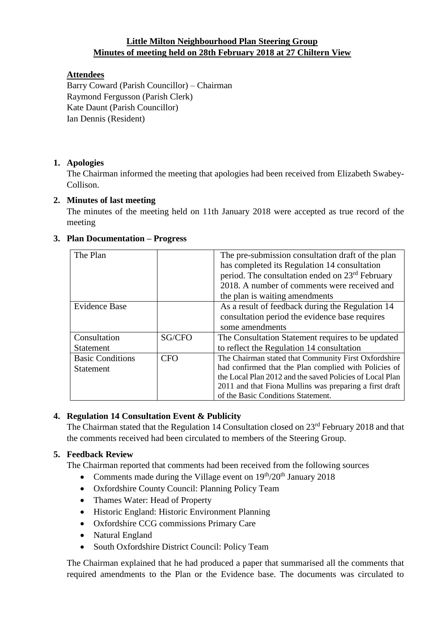## **Little Milton Neighbourhood Plan Steering Group Minutes of meeting held on 28th February 2018 at 27 Chiltern View**

### **Attendees**

Barry Coward (Parish Councillor) – Chairman Raymond Fergusson (Parish Clerk) Kate Daunt (Parish Councillor) Ian Dennis (Resident)

### **1. Apologies**

The Chairman informed the meeting that apologies had been received from Elizabeth Swabey-Collison.

## **2. Minutes of last meeting**

The minutes of the meeting held on 11th January 2018 were accepted as true record of the meeting

| The Plan                |            | The pre-submission consultation draft of the plan           |
|-------------------------|------------|-------------------------------------------------------------|
|                         |            | has completed its Regulation 14 consultation                |
|                         |            | period. The consultation ended on 23 <sup>rd</sup> February |
|                         |            | 2018. A number of comments were received and                |
|                         |            | the plan is waiting amendments                              |
| <b>Evidence Base</b>    |            | As a result of feedback during the Regulation 14            |
|                         |            | consultation period the evidence base requires              |
|                         |            | some amendments                                             |
| Consultation            | SG/CFO     | The Consultation Statement requires to be updated           |
| <b>Statement</b>        |            | to reflect the Regulation 14 consultation                   |
| <b>Basic Conditions</b> | <b>CFO</b> | The Chairman stated that Community First Oxfordshire        |
| <b>Statement</b>        |            | had confirmed that the Plan complied with Policies of       |
|                         |            | the Local Plan 2012 and the saved Policies of Local Plan    |
|                         |            | 2011 and that Fiona Mullins was preparing a first draft     |
|                         |            | of the Basic Conditions Statement.                          |

### **3. Plan Documentation – Progress**

# **4. Regulation 14 Consultation Event & Publicity**

The Chairman stated that the Regulation 14 Consultation closed on 23<sup>rd</sup> February 2018 and that the comments received had been circulated to members of the Steering Group.

# **5. Feedback Review**

The Chairman reported that comments had been received from the following sources

- Comments made during the Village event on  $19<sup>th</sup>/20<sup>th</sup>$  January 2018
- Oxfordshire County Council: Planning Policy Team
- Thames Water: Head of Property
- Historic England: Historic Environment Planning
- Oxfordshire CCG commissions Primary Care
- Natural England
- South Oxfordshire District Council: Policy Team

The Chairman explained that he had produced a paper that summarised all the comments that required amendments to the Plan or the Evidence base. The documents was circulated to